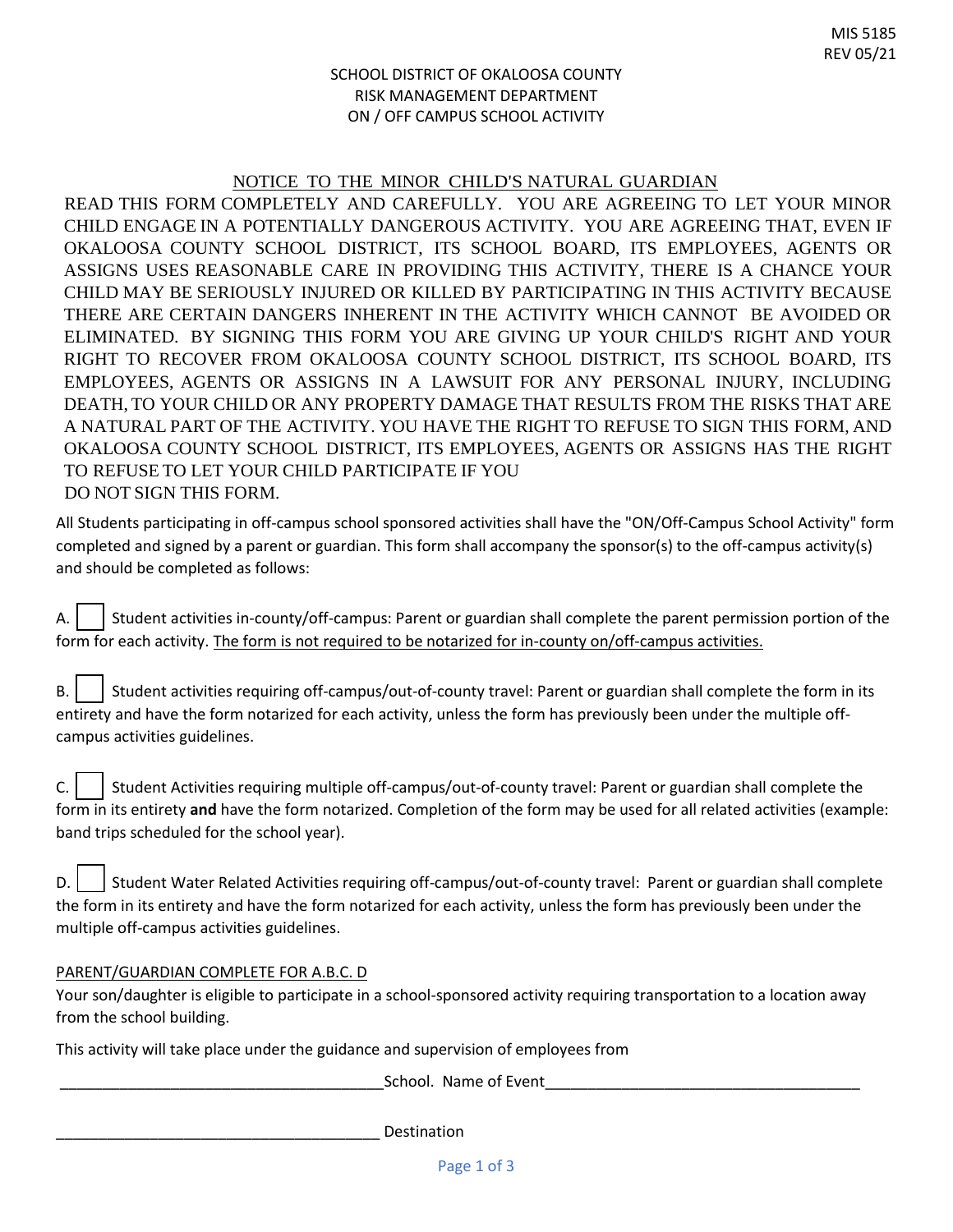## SCHOOL DISTRICT OF OKALOOSA COUNTY RISK MANAGEMENT DEPARTMENT ON / OFF CAMPUS SCHOOL ACTIVITY

# NOTICE TO THE MINOR CHILD'S NATURAL GUARDIAN

READ THIS FORM COMPLETELY AND CAREFULLY. YOU ARE AGREEING TO LET YOUR MINOR CHILD ENGAGE IN A POTENTIALLY DANGEROUS ACTIVITY. YOU ARE AGREEING THAT, EVEN IF OKALOOSA COUNTY SCHOOL DISTRICT, ITS SCHOOL BOARD, ITS EMPLOYEES, AGENTS OR ASSIGNS USES REASONABLE CARE IN PROVIDING THIS ACTIVITY, THERE IS A CHANCE YOUR CHILD MAY BE SERIOUSLY INJURED OR KILLED BY PARTICIPATING IN THIS ACTIVITY BECAUSE THERE ARE CERTAIN DANGERS INHERENT IN THE ACTIVITY WHICH CANNOT BE AVOIDED OR ELIMINATED. BY SIGNING THIS FORM YOU ARE GIVING UP YOUR CHILD'S RIGHT AND YOUR RIGHT TO RECOVER FROM OKALOOSA COUNTY SCHOOL DISTRICT, ITS SCHOOL BOARD, ITS EMPLOYEES, AGENTS OR ASSIGNS IN A LAWSUIT FOR ANY PERSONAL INJURY, INCLUDING DEATH, TO YOUR CHILD OR ANY PROPERTY DAMAGE THAT RESULTS FROM THE RISKS THAT ARE A NATURAL PART OF THE ACTIVITY. YOU HAVE THE RIGHT TO REFUSE TO SIGN THIS FORM, AND OKALOOSA COUNTY SCHOOL DISTRICT, ITS EMPLOYEES, AGENTS OR ASSIGNS HAS THE RIGHT TO REFUSE TO LET YOUR CHILD PARTICIPATE IF YOU DO NOT SIGN THIS FORM.

All Students participating in off-campus school sponsored activities shall have the "ON/Off-Campus School Activity" form completed and signed by a parent or guardian. This form shall accompany the sponsor(s) to the off-campus activity(s) and should be completed as follows:

A.  $\vert \ \vert$  Student activities in-county/off-campus: Parent or guardian shall complete the parent permission portion of the form for each activity. The form is not required to be notarized for in-county on/off-campus activities.

| B. $\vert$ Student activities requiring off-campus/out-of-county travel: Parent or guardian shall complete the form in its |
|----------------------------------------------------------------------------------------------------------------------------|
| entirety and have the form notarized for each activity, unless the form has previously been under the multiple off-        |
| campus activities guidelines.                                                                                              |

 $C.$  Student Activities requiring multiple off-campus/out-of-county travel: Parent or guardian shall complete the form in its entirety **and** have the form notarized. Completion of the form may be used for all related activities (example: band trips scheduled for the school year).

|  | D.   Student Water Related Activities requiring off-campus/out-of-county travel: Parent or guardian shall complete    |
|--|-----------------------------------------------------------------------------------------------------------------------|
|  | the form in its entirety and have the form notarized for each activity, unless the form has previously been under the |
|  | multiple off-campus activities guidelines.                                                                            |

#### PARENT/GUARDIAN COMPLETE FOR A.B.C. D

Your son/daughter is eligible to participate in a school-sponsored activity requiring transportation to a location away from the school building.

This activity will take place under the guidance and supervision of employees from

School. Name of Event

Destination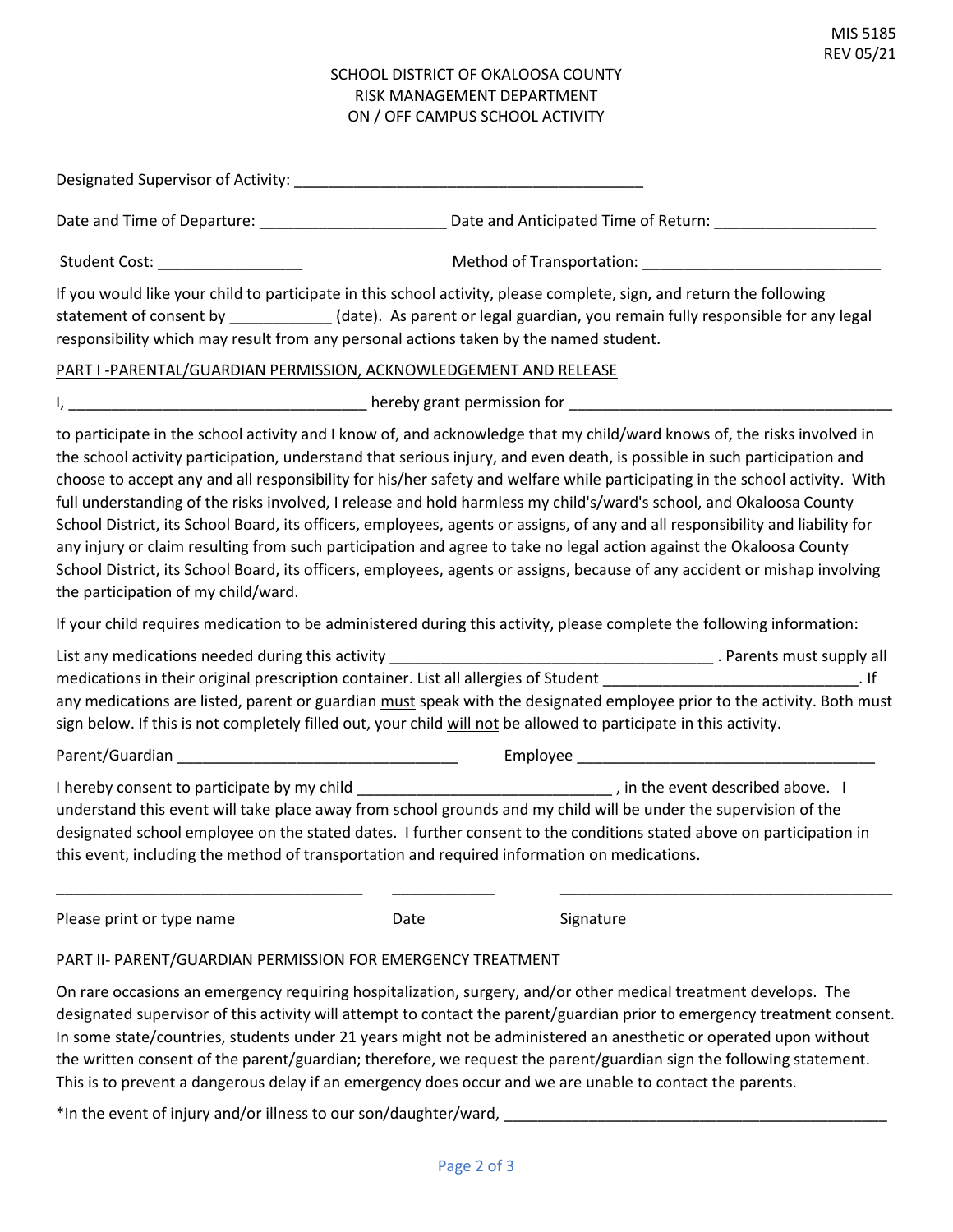## SCHOOL DISTRICT OF OKALOOSA COUNTY RISK MANAGEMENT DEPARTMENT ON / OFF CAMPUS SCHOOL ACTIVITY

| Student Cost: _________________                                                                                                                                                                                                                                                                                                                                                                                                                                                                                                                                                                                                                                                                                                                                                                                                                                                                                                         |      |           |  |
|-----------------------------------------------------------------------------------------------------------------------------------------------------------------------------------------------------------------------------------------------------------------------------------------------------------------------------------------------------------------------------------------------------------------------------------------------------------------------------------------------------------------------------------------------------------------------------------------------------------------------------------------------------------------------------------------------------------------------------------------------------------------------------------------------------------------------------------------------------------------------------------------------------------------------------------------|------|-----------|--|
| If you would like your child to participate in this school activity, please complete, sign, and return the following<br>statement of consent by ___________(date). As parent or legal guardian, you remain fully responsible for any legal<br>responsibility which may result from any personal actions taken by the named student.                                                                                                                                                                                                                                                                                                                                                                                                                                                                                                                                                                                                     |      |           |  |
| PART I -PARENTAL/GUARDIAN PERMISSION, ACKNOWLEDGEMENT AND RELEASE                                                                                                                                                                                                                                                                                                                                                                                                                                                                                                                                                                                                                                                                                                                                                                                                                                                                       |      |           |  |
|                                                                                                                                                                                                                                                                                                                                                                                                                                                                                                                                                                                                                                                                                                                                                                                                                                                                                                                                         |      |           |  |
| to participate in the school activity and I know of, and acknowledge that my child/ward knows of, the risks involved in<br>the school activity participation, understand that serious injury, and even death, is possible in such participation and<br>choose to accept any and all responsibility for his/her safety and welfare while participating in the school activity. With<br>full understanding of the risks involved, I release and hold harmless my child's/ward's school, and Okaloosa County<br>School District, its School Board, its officers, employees, agents or assigns, of any and all responsibility and liability for<br>any injury or claim resulting from such participation and agree to take no legal action against the Okaloosa County<br>School District, its School Board, its officers, employees, agents or assigns, because of any accident or mishap involving<br>the participation of my child/ward. |      |           |  |
| If your child requires medication to be administered during this activity, please complete the following information:                                                                                                                                                                                                                                                                                                                                                                                                                                                                                                                                                                                                                                                                                                                                                                                                                   |      |           |  |
| medications in their original prescription container. List all allergies of Student entitled and their container of the student of the student of the student of the student of the student of the student of the student of t<br>any medications are listed, parent or guardian must speak with the designated employee prior to the activity. Both must<br>sign below. If this is not completely filled out, your child will not be allowed to participate in this activity.                                                                                                                                                                                                                                                                                                                                                                                                                                                          |      |           |  |
|                                                                                                                                                                                                                                                                                                                                                                                                                                                                                                                                                                                                                                                                                                                                                                                                                                                                                                                                         |      |           |  |
| I hereby consent to participate by my child _________________________________, in the event described above. I<br>understand this event will take place away from school grounds and my child will be under the supervision of the<br>designated school employee on the stated dates. I further consent to the conditions stated above on participation in<br>this event, including the method of transportation and required information on medications.                                                                                                                                                                                                                                                                                                                                                                                                                                                                               |      |           |  |
| Please print or type name                                                                                                                                                                                                                                                                                                                                                                                                                                                                                                                                                                                                                                                                                                                                                                                                                                                                                                               | Date | Signature |  |
| PART II- PARENT/GUARDIAN PERMISSION FOR EMERGENCY TREATMENT                                                                                                                                                                                                                                                                                                                                                                                                                                                                                                                                                                                                                                                                                                                                                                                                                                                                             |      |           |  |

On rare occasions an emergency requiring hospitalization, surgery, and/or other medical treatment develops. The designated supervisor of this activity will attempt to contact the parent/guardian prior to emergency treatment consent. In some state/countries, students under 21 years might not be administered an anesthetic or operated upon without the written consent of the parent/guardian; therefore, we request the parent/guardian sign the following statement. This is to prevent a dangerous delay if an emergency does occur and we are unable to contact the parents.

\*In the event of injury and/or illness to our son/daughter/ward, \_\_\_\_\_\_\_\_\_\_\_\_\_\_\_